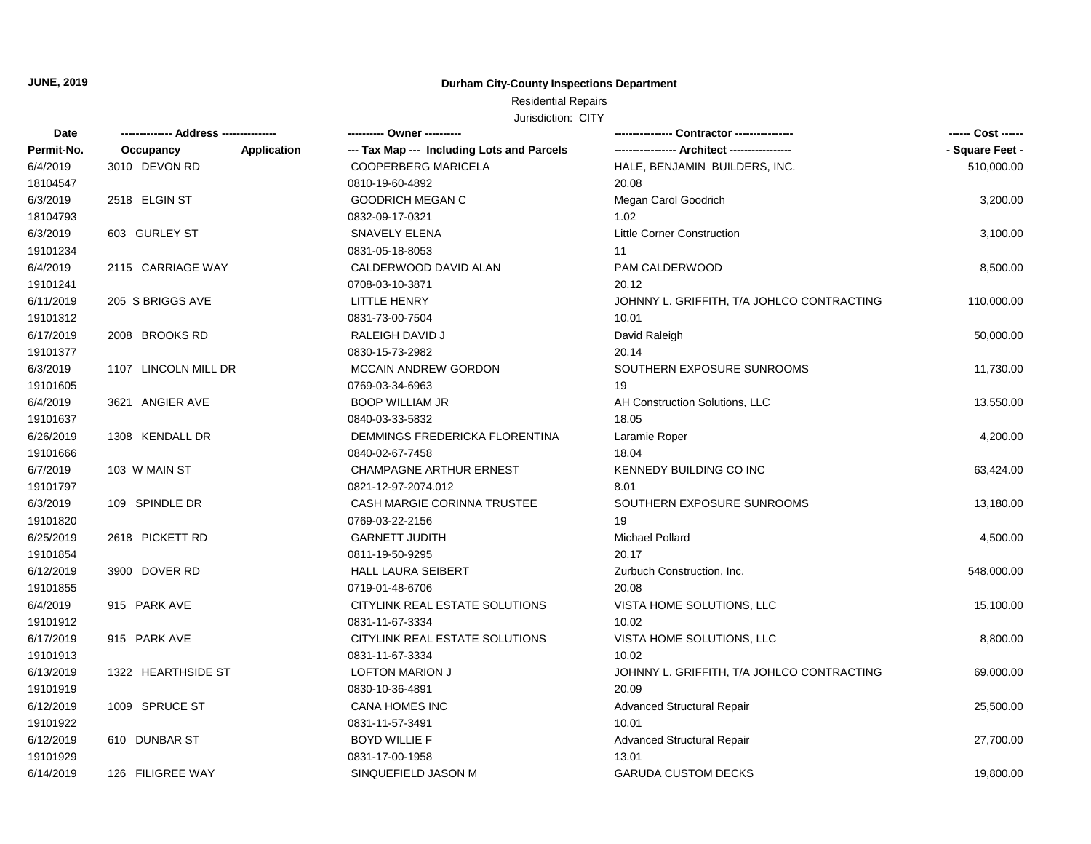## Residential Repairs

| <b>Date</b> |                                 | ---------- Owner ----------                |                                            | ------ Cost ------ |
|-------------|---------------------------------|--------------------------------------------|--------------------------------------------|--------------------|
| Permit-No.  | <b>Application</b><br>Occupancy | --- Tax Map --- Including Lots and Parcels |                                            | - Square Feet -    |
| 6/4/2019    | 3010 DEVON RD                   | <b>COOPERBERG MARICELA</b>                 | HALE, BENJAMIN BUILDERS, INC.              | 510,000.00         |
| 18104547    |                                 | 0810-19-60-4892                            | 20.08                                      |                    |
| 6/3/2019    | 2518 ELGIN ST                   | <b>GOODRICH MEGAN C</b>                    | Megan Carol Goodrich                       | 3,200.00           |
| 18104793    |                                 | 0832-09-17-0321                            | 1.02                                       |                    |
| 6/3/2019    | 603 GURLEY ST                   | <b>SNAVELY ELENA</b>                       | <b>Little Corner Construction</b>          | 3,100.00           |
| 19101234    |                                 | 0831-05-18-8053                            | 11                                         |                    |
| 6/4/2019    | 2115 CARRIAGE WAY               | CALDERWOOD DAVID ALAN                      | PAM CALDERWOOD                             | 8,500.00           |
| 19101241    |                                 | 0708-03-10-3871                            | 20.12                                      |                    |
| 6/11/2019   | 205 S BRIGGS AVE                | <b>LITTLE HENRY</b>                        | JOHNNY L. GRIFFITH, T/A JOHLCO CONTRACTING | 110,000.00         |
| 19101312    |                                 | 0831-73-00-7504                            | 10.01                                      |                    |
| 6/17/2019   | 2008 BROOKS RD                  | RALEIGH DAVID J                            | David Raleigh                              | 50,000.00          |
| 19101377    |                                 | 0830-15-73-2982                            | 20.14                                      |                    |
| 6/3/2019    | 1107 LINCOLN MILL DR            | MCCAIN ANDREW GORDON                       | SOUTHERN EXPOSURE SUNROOMS                 | 11,730.00          |
| 19101605    |                                 | 0769-03-34-6963                            | 19                                         |                    |
| 6/4/2019    | 3621 ANGIER AVE                 | <b>BOOP WILLIAM JR</b>                     | AH Construction Solutions, LLC             | 13,550.00          |
| 19101637    |                                 | 0840-03-33-5832                            | 18.05                                      |                    |
| 6/26/2019   | 1308 KENDALL DR                 | DEMMINGS FREDERICKA FLORENTINA             | Laramie Roper                              | 4,200.00           |
| 19101666    |                                 | 0840-02-67-7458                            | 18.04                                      |                    |
| 6/7/2019    | 103 W MAIN ST                   | <b>CHAMPAGNE ARTHUR ERNEST</b>             | KENNEDY BUILDING CO INC                    | 63,424.00          |
| 19101797    |                                 | 0821-12-97-2074.012                        | 8.01                                       |                    |
| 6/3/2019    | 109 SPINDLE DR                  | CASH MARGIE CORINNA TRUSTEE                | SOUTHERN EXPOSURE SUNROOMS                 | 13,180.00          |
| 19101820    |                                 | 0769-03-22-2156                            | 19                                         |                    |
| 6/25/2019   | 2618 PICKETT RD                 | <b>GARNETT JUDITH</b>                      | <b>Michael Pollard</b>                     | 4,500.00           |
| 19101854    |                                 | 0811-19-50-9295                            | 20.17                                      |                    |
| 6/12/2019   | 3900 DOVER RD                   | <b>HALL LAURA SEIBERT</b>                  | Zurbuch Construction, Inc.                 | 548,000.00         |
| 19101855    |                                 | 0719-01-48-6706                            | 20.08                                      |                    |
| 6/4/2019    | 915 PARK AVE                    | CITYLINK REAL ESTATE SOLUTIONS             | VISTA HOME SOLUTIONS, LLC                  | 15,100.00          |
| 19101912    |                                 | 0831-11-67-3334                            | 10.02                                      |                    |
| 6/17/2019   | 915 PARK AVE                    | CITYLINK REAL ESTATE SOLUTIONS             | VISTA HOME SOLUTIONS, LLC                  | 8,800.00           |
| 19101913    |                                 | 0831-11-67-3334                            | 10.02                                      |                    |
| 6/13/2019   | 1322 HEARTHSIDE ST              | <b>LOFTON MARION J</b>                     | JOHNNY L. GRIFFITH, T/A JOHLCO CONTRACTING | 69,000.00          |
| 19101919    |                                 | 0830-10-36-4891                            | 20.09                                      |                    |
| 6/12/2019   | 1009 SPRUCE ST                  | CANA HOMES INC                             | <b>Advanced Structural Repair</b>          | 25,500.00          |
| 19101922    |                                 | 0831-11-57-3491                            | 10.01                                      |                    |
| 6/12/2019   | 610 DUNBAR ST                   | <b>BOYD WILLIE F</b>                       | Advanced Structural Repair                 | 27,700.00          |
| 19101929    |                                 | 0831-17-00-1958                            | 13.01                                      |                    |
| 6/14/2019   | 126 FILIGREE WAY                | SINQUEFIELD JASON M                        | <b>GARUDA CUSTOM DECKS</b>                 | 19,800.00          |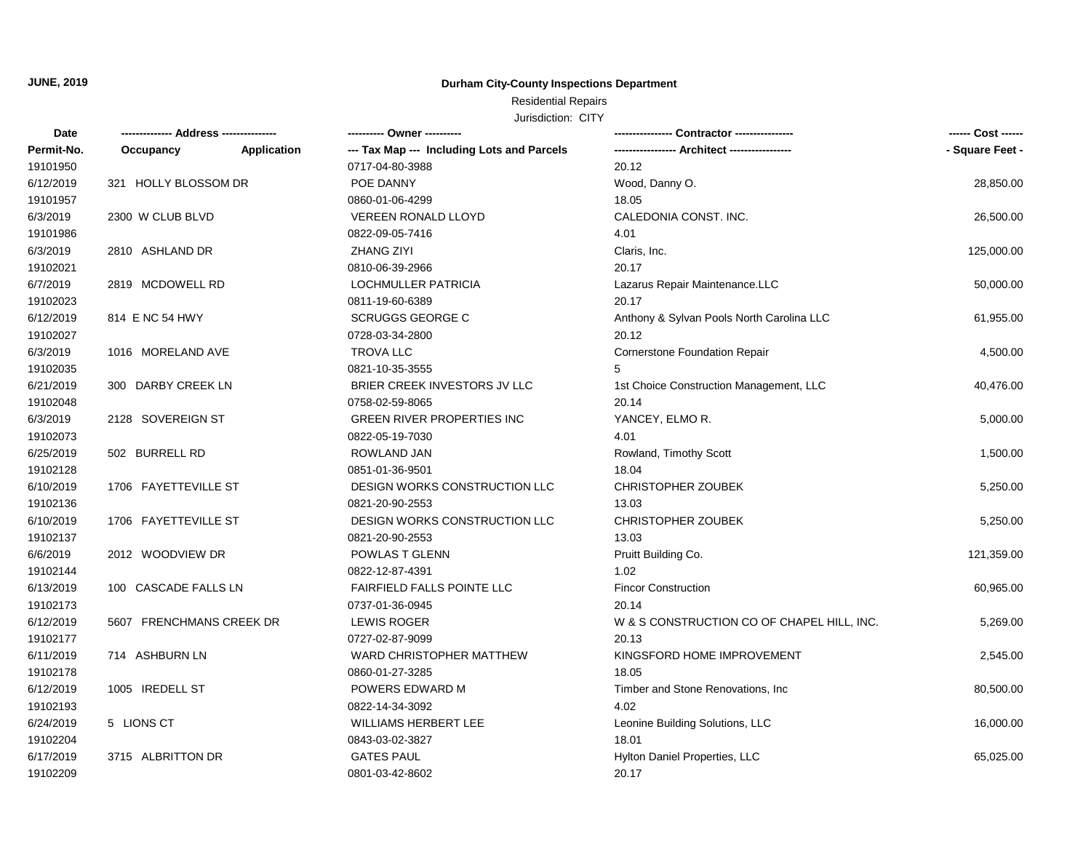## Residential Repairs

| Date       |                          |             | ---------- Owner ----------                |                                            | ------ Cost ------ |
|------------|--------------------------|-------------|--------------------------------------------|--------------------------------------------|--------------------|
| Permit-No. | Occupancy                | Application | --- Tax Map --- Including Lots and Parcels |                                            | - Square Feet -    |
| 19101950   |                          |             | 0717-04-80-3988                            | 20.12                                      |                    |
| 6/12/2019  | 321 HOLLY BLOSSOM DR     |             | POE DANNY                                  | Wood, Danny O.                             | 28,850.00          |
| 19101957   |                          |             | 0860-01-06-4299                            | 18.05                                      |                    |
| 6/3/2019   | 2300 W CLUB BLVD         |             | <b>VEREEN RONALD LLOYD</b>                 | CALEDONIA CONST. INC.                      | 26,500.00          |
| 19101986   |                          |             | 0822-09-05-7416                            | 4.01                                       |                    |
| 6/3/2019   | 2810 ASHLAND DR          |             | <b>ZHANG ZIYI</b>                          | Claris, Inc.                               | 125,000.00         |
| 19102021   |                          |             | 0810-06-39-2966                            | 20.17                                      |                    |
| 6/7/2019   | 2819 MCDOWELL RD         |             | LOCHMULLER PATRICIA                        | Lazarus Repair Maintenance.LLC             | 50,000.00          |
| 19102023   |                          |             | 0811-19-60-6389                            | 20.17                                      |                    |
| 6/12/2019  | 814 E NC 54 HWY          |             | <b>SCRUGGS GEORGE C</b>                    | Anthony & Sylvan Pools North Carolina LLC  | 61,955.00          |
| 19102027   |                          |             | 0728-03-34-2800                            | 20.12                                      |                    |
| 6/3/2019   | 1016 MORELAND AVE        |             | <b>TROVA LLC</b>                           | <b>Cornerstone Foundation Repair</b>       | 4,500.00           |
| 19102035   |                          |             | 0821-10-35-3555                            | 5                                          |                    |
| 6/21/2019  | 300 DARBY CREEK LN       |             | BRIER CREEK INVESTORS JV LLC               | 1st Choice Construction Management, LLC    | 40,476.00          |
| 19102048   |                          |             | 0758-02-59-8065                            | 20.14                                      |                    |
| 6/3/2019   | 2128 SOVEREIGN ST        |             | <b>GREEN RIVER PROPERTIES INC</b>          | YANCEY, ELMOR.                             | 5,000.00           |
| 19102073   |                          |             | 0822-05-19-7030                            | 4.01                                       |                    |
| 6/25/2019  | 502 BURRELL RD           |             | ROWLAND JAN                                | Rowland, Timothy Scott                     | 1,500.00           |
| 19102128   |                          |             | 0851-01-36-9501                            | 18.04                                      |                    |
| 6/10/2019  | 1706 FAYETTEVILLE ST     |             | DESIGN WORKS CONSTRUCTION LLC              | <b>CHRISTOPHER ZOUBEK</b>                  | 5,250.00           |
| 19102136   |                          |             | 0821-20-90-2553                            | 13.03                                      |                    |
| 6/10/2019  | 1706 FAYETTEVILLE ST     |             | DESIGN WORKS CONSTRUCTION LLC              | CHRISTOPHER ZOUBEK                         | 5,250.00           |
| 19102137   |                          |             | 0821-20-90-2553                            | 13.03                                      |                    |
| 6/6/2019   | 2012 WOODVIEW DR         |             | POWLAS T GLENN                             | Pruitt Building Co.                        | 121,359.00         |
| 19102144   |                          |             | 0822-12-87-4391                            | 1.02                                       |                    |
| 6/13/2019  | 100 CASCADE FALLS LN     |             | <b>FAIRFIELD FALLS POINTE LLC</b>          | <b>Fincor Construction</b>                 | 60,965.00          |
| 19102173   |                          |             | 0737-01-36-0945                            | 20.14                                      |                    |
| 6/12/2019  | 5607 FRENCHMANS CREEK DR |             | <b>LEWIS ROGER</b>                         | W & S CONSTRUCTION CO OF CHAPEL HILL, INC. | 5,269.00           |
| 19102177   |                          |             | 0727-02-87-9099                            | 20.13                                      |                    |
| 6/11/2019  | 714 ASHBURN LN           |             | WARD CHRISTOPHER MATTHEW                   | KINGSFORD HOME IMPROVEMENT                 | 2,545.00           |
| 19102178   |                          |             | 0860-01-27-3285                            | 18.05                                      |                    |
| 6/12/2019  | 1005 IREDELL ST          |             | POWERS EDWARD M                            | Timber and Stone Renovations, Inc.         | 80,500.00          |
| 19102193   |                          |             | 0822-14-34-3092                            | 4.02                                       |                    |
| 6/24/2019  | 5 LIONS CT               |             | <b>WILLIAMS HERBERT LEE</b>                | Leonine Building Solutions, LLC            | 16,000.00          |
| 19102204   |                          |             | 0843-03-02-3827                            | 18.01                                      |                    |
| 6/17/2019  | 3715 ALBRITTON DR        |             | <b>GATES PAUL</b>                          | Hylton Daniel Properties, LLC              | 65,025.00          |
| 19102209   |                          |             | 0801-03-42-8602                            | 20.17                                      |                    |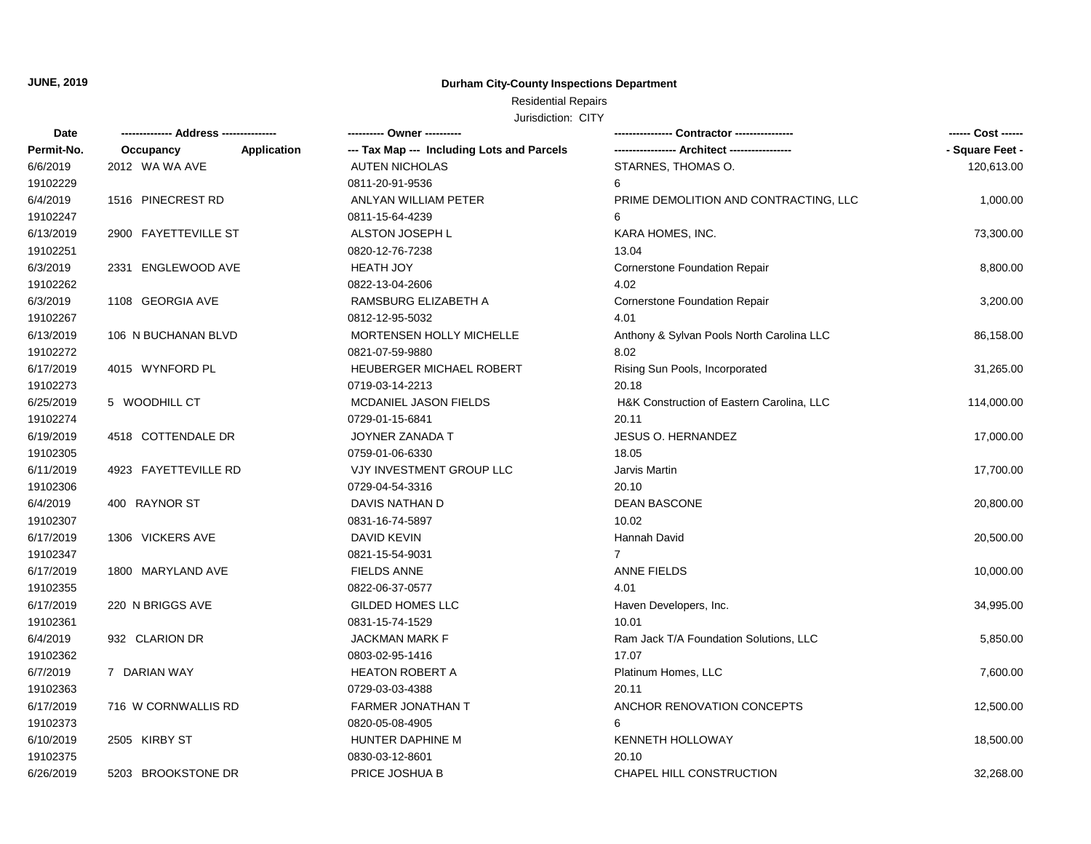## Residential Repairs

| Date       | -------------- Address --------------- |             | ---------- Owner ----------                | Contractor ----------------                 |                 |
|------------|----------------------------------------|-------------|--------------------------------------------|---------------------------------------------|-----------------|
| Permit-No. | Occupancy                              | Application | --- Tax Map --- Including Lots and Parcels | ---------------- Architect ---------------- | - Square Feet - |
| 6/6/2019   | 2012 WA WA AVE                         |             | <b>AUTEN NICHOLAS</b>                      | STARNES, THOMAS O.                          | 120,613.00      |
| 19102229   |                                        |             | 0811-20-91-9536                            | 6                                           |                 |
| 6/4/2019   | 1516 PINECREST RD                      |             | ANLYAN WILLIAM PETER                       | PRIME DEMOLITION AND CONTRACTING, LLC       | 1,000.00        |
| 19102247   |                                        |             | 0811-15-64-4239                            | 6                                           |                 |
| 6/13/2019  | 2900 FAYETTEVILLE ST                   |             | ALSTON JOSEPH L                            | KARA HOMES, INC.                            | 73,300.00       |
| 19102251   |                                        |             | 0820-12-76-7238                            | 13.04                                       |                 |
| 6/3/2019   | 2331 ENGLEWOOD AVE                     |             | <b>HEATH JOY</b>                           | Cornerstone Foundation Repair               | 8,800.00        |
| 19102262   |                                        |             | 0822-13-04-2606                            | 4.02                                        |                 |
| 6/3/2019   | 1108 GEORGIA AVE                       |             | RAMSBURG ELIZABETH A                       | <b>Cornerstone Foundation Repair</b>        | 3,200.00        |
| 19102267   |                                        |             | 0812-12-95-5032                            | 4.01                                        |                 |
| 6/13/2019  | 106 N BUCHANAN BLVD                    |             | MORTENSEN HOLLY MICHELLE                   | Anthony & Sylvan Pools North Carolina LLC   | 86,158.00       |
| 19102272   |                                        |             | 0821-07-59-9880                            | 8.02                                        |                 |
| 6/17/2019  | 4015 WYNFORD PL                        |             | HEUBERGER MICHAEL ROBERT                   | Rising Sun Pools, Incorporated              | 31,265.00       |
| 19102273   |                                        |             | 0719-03-14-2213                            | 20.18                                       |                 |
| 6/25/2019  | 5 WOODHILL CT                          |             | MCDANIEL JASON FIELDS                      | H&K Construction of Eastern Carolina, LLC   | 114,000.00      |
| 19102274   |                                        |             | 0729-01-15-6841                            | 20.11                                       |                 |
| 6/19/2019  | 4518 COTTENDALE DR                     |             | JOYNER ZANADA T                            | <b>JESUS O. HERNANDEZ</b>                   | 17,000.00       |
| 19102305   |                                        |             | 0759-01-06-6330                            | 18.05                                       |                 |
| 6/11/2019  | 4923 FAYETTEVILLE RD                   |             | VJY INVESTMENT GROUP LLC                   | Jarvis Martin                               | 17,700.00       |
| 19102306   |                                        |             | 0729-04-54-3316                            | 20.10                                       |                 |
| 6/4/2019   | 400 RAYNOR ST                          |             | DAVIS NATHAN D                             | <b>DEAN BASCONE</b>                         | 20,800.00       |
| 19102307   |                                        |             | 0831-16-74-5897                            | 10.02                                       |                 |
| 6/17/2019  | 1306 VICKERS AVE                       |             | DAVID KEVIN                                | Hannah David                                | 20,500.00       |
| 19102347   |                                        |             | 0821-15-54-9031                            | $\overline{7}$                              |                 |
| 6/17/2019  | 1800 MARYLAND AVE                      |             | <b>FIELDS ANNE</b>                         | <b>ANNE FIELDS</b>                          | 10,000.00       |
| 19102355   |                                        |             | 0822-06-37-0577                            | 4.01                                        |                 |
| 6/17/2019  | 220 N BRIGGS AVE                       |             | <b>GILDED HOMES LLC</b>                    | Haven Developers, Inc.                      | 34,995.00       |
| 19102361   |                                        |             | 0831-15-74-1529                            | 10.01                                       |                 |
| 6/4/2019   | 932 CLARION DR                         |             | <b>JACKMAN MARK F</b>                      | Ram Jack T/A Foundation Solutions, LLC      | 5,850.00        |
| 19102362   |                                        |             | 0803-02-95-1416                            | 17.07                                       |                 |
| 6/7/2019   | 7 DARIAN WAY                           |             | <b>HEATON ROBERT A</b>                     | Platinum Homes, LLC                         | 7,600.00        |
| 19102363   |                                        |             | 0729-03-03-4388                            | 20.11                                       |                 |
| 6/17/2019  | 716 W CORNWALLIS RD                    |             | <b>FARMER JONATHAN T</b>                   | ANCHOR RENOVATION CONCEPTS                  | 12,500.00       |
| 19102373   |                                        |             | 0820-05-08-4905                            | 6                                           |                 |
| 6/10/2019  | 2505 KIRBY ST                          |             | HUNTER DAPHINE M                           | <b>KENNETH HOLLOWAY</b>                     | 18,500.00       |
| 19102375   |                                        |             | 0830-03-12-8601                            | 20.10                                       |                 |
| 6/26/2019  | 5203 BROOKSTONE DR                     |             | PRICE JOSHUA B                             | CHAPEL HILL CONSTRUCTION                    | 32,268.00       |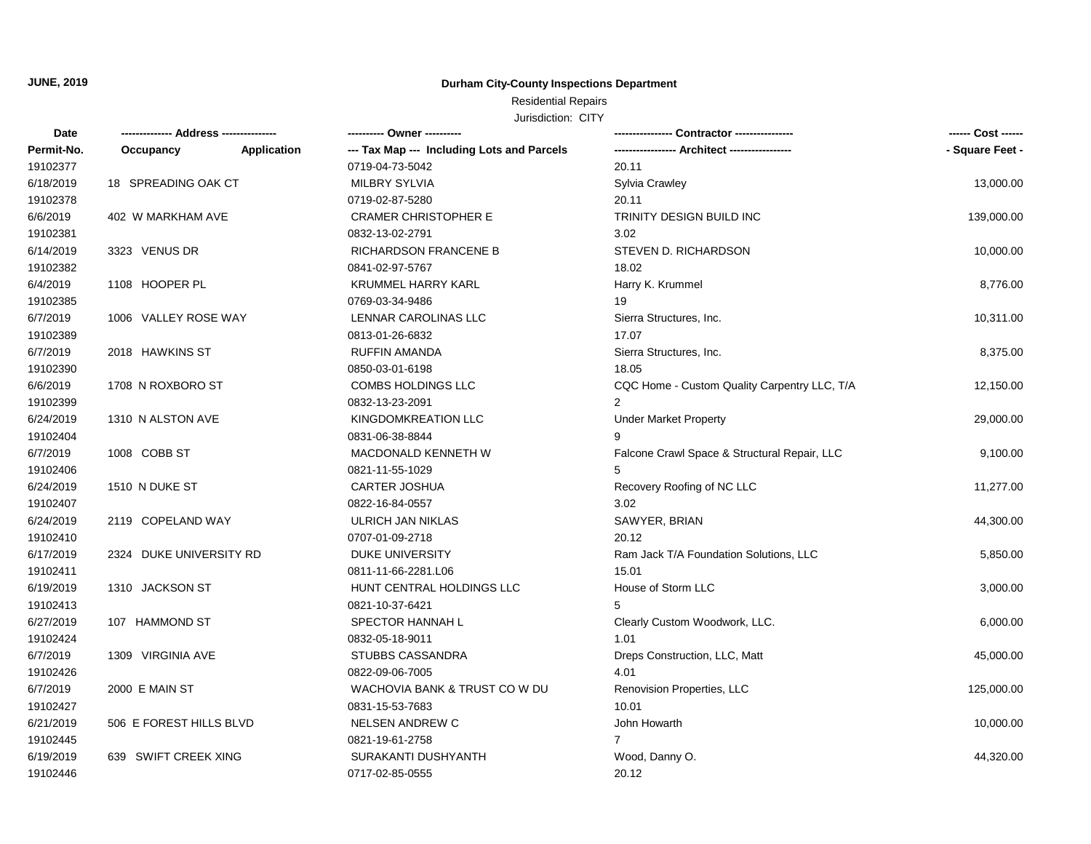## Residential Repairs

| Date       |                         |             | ---------- Owner ----------                | Contractor ----------------                  | ------ Cost ------ |
|------------|-------------------------|-------------|--------------------------------------------|----------------------------------------------|--------------------|
| Permit-No. | Occupancy               | Application | --- Tax Map --- Including Lots and Parcels |                                              | - Square Feet -    |
| 19102377   |                         |             | 0719-04-73-5042                            | 20.11                                        |                    |
| 6/18/2019  | 18 SPREADING OAK CT     |             | <b>MILBRY SYLVIA</b>                       | Sylvia Crawley                               | 13,000.00          |
| 19102378   |                         |             | 0719-02-87-5280                            | 20.11                                        |                    |
| 6/6/2019   | 402 W MARKHAM AVE       |             | <b>CRAMER CHRISTOPHER E</b>                | TRINITY DESIGN BUILD INC                     | 139,000.00         |
| 19102381   |                         |             | 0832-13-02-2791                            | 3.02                                         |                    |
| 6/14/2019  | 3323 VENUS DR           |             | <b>RICHARDSON FRANCENE B</b>               | STEVEN D. RICHARDSON                         | 10,000.00          |
| 19102382   |                         |             | 0841-02-97-5767                            | 18.02                                        |                    |
| 6/4/2019   | 1108 HOOPER PL          |             | <b>KRUMMEL HARRY KARL</b>                  | Harry K. Krummel                             | 8,776.00           |
| 19102385   |                         |             | 0769-03-34-9486                            | 19                                           |                    |
| 6/7/2019   | 1006 VALLEY ROSE WAY    |             | LENNAR CAROLINAS LLC                       | Sierra Structures, Inc.                      | 10,311.00          |
| 19102389   |                         |             | 0813-01-26-6832                            | 17.07                                        |                    |
| 6/7/2019   | 2018 HAWKINS ST         |             | <b>RUFFIN AMANDA</b>                       | Sierra Structures, Inc.                      | 8,375.00           |
| 19102390   |                         |             | 0850-03-01-6198                            | 18.05                                        |                    |
| 6/6/2019   | 1708 N ROXBORO ST       |             | <b>COMBS HOLDINGS LLC</b>                  | CQC Home - Custom Quality Carpentry LLC, T/A | 12,150.00          |
| 19102399   |                         |             | 0832-13-23-2091                            | 2                                            |                    |
| 6/24/2019  | 1310 N ALSTON AVE       |             | KINGDOMKREATION LLC                        | <b>Under Market Property</b>                 | 29,000.00          |
| 19102404   |                         |             | 0831-06-38-8844                            | 9                                            |                    |
| 6/7/2019   | 1008 COBB ST            |             | MACDONALD KENNETH W                        | Falcone Crawl Space & Structural Repair, LLC | 9,100.00           |
| 19102406   |                         |             | 0821-11-55-1029                            |                                              |                    |
| 6/24/2019  | 1510 N DUKE ST          |             | <b>CARTER JOSHUA</b>                       | Recovery Roofing of NC LLC                   | 11,277.00          |
| 19102407   |                         |             | 0822-16-84-0557                            | 3.02                                         |                    |
| 6/24/2019  | 2119 COPELAND WAY       |             | ULRICH JAN NIKLAS                          | SAWYER, BRIAN                                | 44,300.00          |
| 19102410   |                         |             | 0707-01-09-2718                            | 20.12                                        |                    |
| 6/17/2019  | 2324 DUKE UNIVERSITY RD |             | <b>DUKE UNIVERSITY</b>                     | Ram Jack T/A Foundation Solutions, LLC       | 5,850.00           |
| 19102411   |                         |             | 0811-11-66-2281.L06                        | 15.01                                        |                    |
| 6/19/2019  | 1310 JACKSON ST         |             | HUNT CENTRAL HOLDINGS LLC                  | House of Storm LLC                           | 3,000.00           |
| 19102413   |                         |             | 0821-10-37-6421                            | 5                                            |                    |
| 6/27/2019  | 107 HAMMOND ST          |             | SPECTOR HANNAH L                           | Clearly Custom Woodwork, LLC.                | 6,000.00           |
| 19102424   |                         |             | 0832-05-18-9011                            | 1.01                                         |                    |
| 6/7/2019   | 1309 VIRGINIA AVE       |             | <b>STUBBS CASSANDRA</b>                    | Dreps Construction, LLC, Matt                | 45,000.00          |
| 19102426   |                         |             | 0822-09-06-7005                            | 4.01                                         |                    |
| 6/7/2019   | 2000 E MAIN ST          |             | WACHOVIA BANK & TRUST CO W DU              | Renovision Properties, LLC                   | 125,000.00         |
| 19102427   |                         |             | 0831-15-53-7683                            | 10.01                                        |                    |
| 6/21/2019  | 506 E FOREST HILLS BLVD |             | <b>NELSEN ANDREW C</b>                     | John Howarth                                 | 10,000.00          |
| 19102445   |                         |             | 0821-19-61-2758                            | $\overline{7}$                               |                    |
| 6/19/2019  | 639 SWIFT CREEK XING    |             | SURAKANTI DUSHYANTH                        | Wood, Danny O.                               | 44,320.00          |
| 19102446   |                         |             | 0717-02-85-0555                            | 20.12                                        |                    |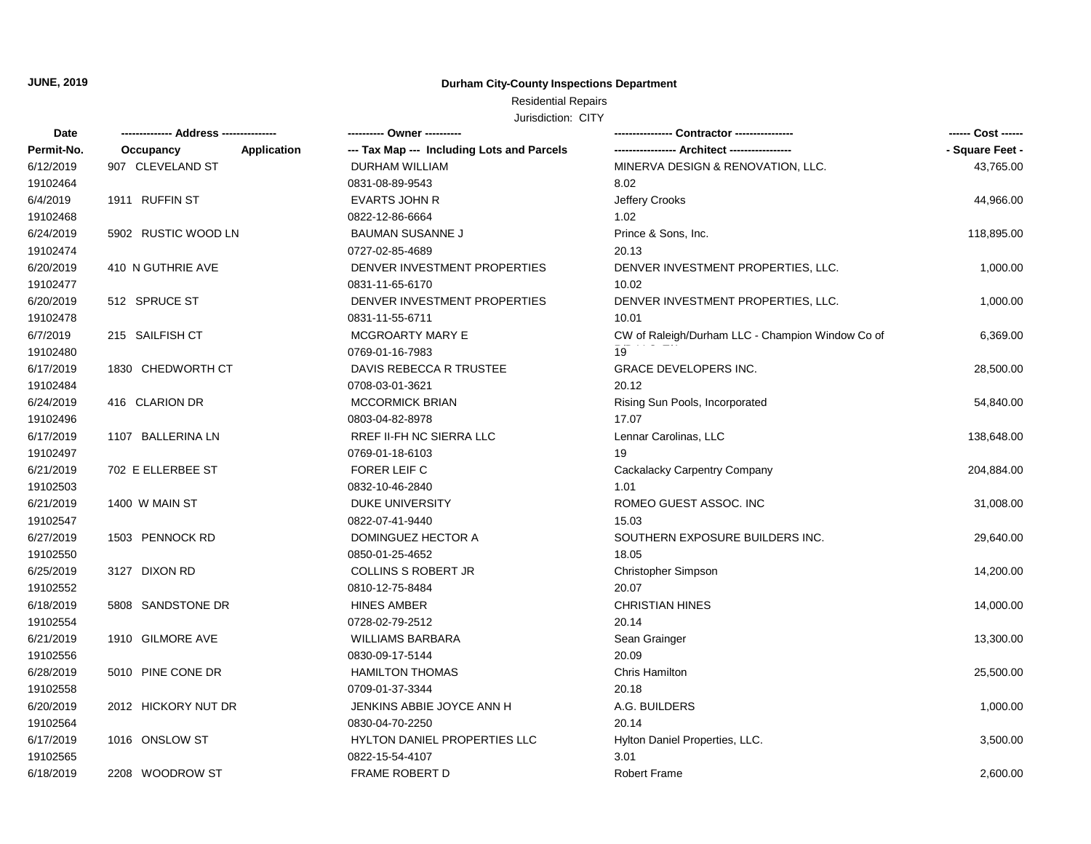## Residential Repairs

| Date       | -------------- Address --------------- |             | ---------- Owner ----------                | Contractor ---------------                       |                 |
|------------|----------------------------------------|-------------|--------------------------------------------|--------------------------------------------------|-----------------|
| Permit-No. | Occupancy                              | Application | --- Tax Map --- Including Lots and Parcels | ----------------- Architect -----------------    | - Square Feet - |
| 6/12/2019  | 907 CLEVELAND ST                       |             | DURHAM WILLIAM                             | MINERVA DESIGN & RENOVATION, LLC.                | 43,765.00       |
| 19102464   |                                        |             | 0831-08-89-9543                            | 8.02                                             |                 |
| 6/4/2019   | 1911 RUFFIN ST                         |             | <b>EVARTS JOHN R</b>                       | Jeffery Crooks                                   | 44,966.00       |
| 19102468   |                                        |             | 0822-12-86-6664                            | 1.02                                             |                 |
| 6/24/2019  | 5902 RUSTIC WOOD LN                    |             | <b>BAUMAN SUSANNE J</b>                    | Prince & Sons, Inc.                              | 118,895.00      |
| 19102474   |                                        |             | 0727-02-85-4689                            | 20.13                                            |                 |
| 6/20/2019  | 410 N GUTHRIE AVE                      |             | DENVER INVESTMENT PROPERTIES               | DENVER INVESTMENT PROPERTIES, LLC.               | 1,000.00        |
| 19102477   |                                        |             | 0831-11-65-6170                            | 10.02                                            |                 |
| 6/20/2019  | 512 SPRUCE ST                          |             | DENVER INVESTMENT PROPERTIES               | DENVER INVESTMENT PROPERTIES, LLC.               | 1,000.00        |
| 19102478   |                                        |             | 0831-11-55-6711                            | 10.01                                            |                 |
| 6/7/2019   | 215 SAILFISH CT                        |             | MCGROARTY MARY E                           | CW of Raleigh/Durham LLC - Champion Window Co of | 6,369.00        |
| 19102480   |                                        |             | 0769-01-16-7983                            | 19                                               |                 |
| 6/17/2019  | 1830 CHEDWORTH CT                      |             | DAVIS REBECCA R TRUSTEE                    | <b>GRACE DEVELOPERS INC.</b>                     | 28,500.00       |
| 19102484   |                                        |             | 0708-03-01-3621                            | 20.12                                            |                 |
| 6/24/2019  | 416 CLARION DR                         |             | <b>MCCORMICK BRIAN</b>                     | Rising Sun Pools, Incorporated                   | 54,840.00       |
| 19102496   |                                        |             | 0803-04-82-8978                            | 17.07                                            |                 |
| 6/17/2019  | 1107 BALLERINA LN                      |             | RREF II-FH NC SIERRA LLC                   | Lennar Carolinas, LLC                            | 138,648.00      |
| 19102497   |                                        |             | 0769-01-18-6103                            | 19                                               |                 |
| 6/21/2019  | 702 E ELLERBEE ST                      |             | FORER LEIF C                               | Cackalacky Carpentry Company                     | 204,884.00      |
| 19102503   |                                        |             | 0832-10-46-2840                            | 1.01                                             |                 |
| 6/21/2019  | 1400 W MAIN ST                         |             | DUKE UNIVERSITY                            | ROMEO GUEST ASSOC. INC                           | 31,008.00       |
| 19102547   |                                        |             | 0822-07-41-9440                            | 15.03                                            |                 |
| 6/27/2019  | 1503 PENNOCK RD                        |             | DOMINGUEZ HECTOR A                         | SOUTHERN EXPOSURE BUILDERS INC.                  | 29,640.00       |
| 19102550   |                                        |             | 0850-01-25-4652                            | 18.05                                            |                 |
| 6/25/2019  | 3127 DIXON RD                          |             | <b>COLLINS S ROBERT JR</b>                 | Christopher Simpson                              | 14,200.00       |
| 19102552   |                                        |             | 0810-12-75-8484                            | 20.07                                            |                 |
| 6/18/2019  | 5808 SANDSTONE DR                      |             | <b>HINES AMBER</b>                         | <b>CHRISTIAN HINES</b>                           | 14,000.00       |
| 19102554   |                                        |             | 0728-02-79-2512                            | 20.14                                            |                 |
| 6/21/2019  | 1910 GILMORE AVE                       |             | <b>WILLIAMS BARBARA</b>                    | Sean Grainger                                    | 13,300.00       |
| 19102556   |                                        |             | 0830-09-17-5144                            | 20.09                                            |                 |
| 6/28/2019  | 5010 PINE CONE DR                      |             | <b>HAMILTON THOMAS</b>                     | Chris Hamilton                                   | 25,500.00       |
| 19102558   |                                        |             | 0709-01-37-3344                            | 20.18                                            |                 |
| 6/20/2019  | 2012 HICKORY NUT DR                    |             | JENKINS ABBIE JOYCE ANN H                  | A.G. BUILDERS                                    | 1,000.00        |
| 19102564   |                                        |             | 0830-04-70-2250                            | 20.14                                            |                 |
| 6/17/2019  | 1016 ONSLOW ST                         |             | HYLTON DANIEL PROPERTIES LLC               | Hylton Daniel Properties, LLC.                   | 3,500.00        |
| 19102565   |                                        |             | 0822-15-54-4107                            | 3.01                                             |                 |
| 6/18/2019  | 2208 WOODROW ST                        |             | <b>FRAME ROBERT D</b>                      | <b>Robert Frame</b>                              | 2,600.00        |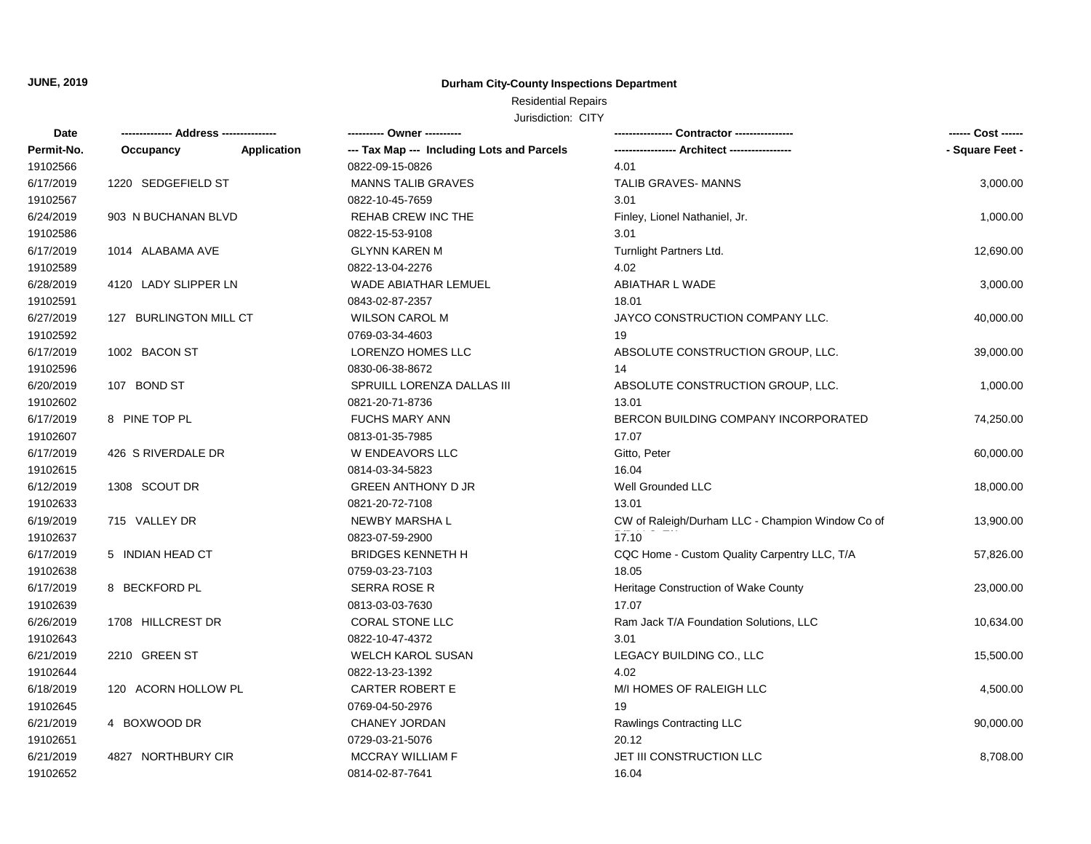## Residential Repairs

| Date       | ------------- Address -------------- |                    | ---------- Owner ----------                | Contractor ----------------                      | ------ Cost ------ |
|------------|--------------------------------------|--------------------|--------------------------------------------|--------------------------------------------------|--------------------|
| Permit-No. | Occupancy                            | <b>Application</b> | --- Tax Map --- Including Lots and Parcels |                                                  | - Square Feet -    |
| 19102566   |                                      |                    | 0822-09-15-0826                            | 4.01                                             |                    |
| 6/17/2019  | 1220 SEDGEFIELD ST                   |                    | MANNS TALIB GRAVES                         | TALIB GRAVES-MANNS                               | 3,000.00           |
| 19102567   |                                      |                    | 0822-10-45-7659                            | 3.01                                             |                    |
| 6/24/2019  | 903 N BUCHANAN BLVD                  |                    | REHAB CREW INC THE                         | Finley, Lionel Nathaniel, Jr.                    | 1,000.00           |
| 19102586   |                                      |                    | 0822-15-53-9108                            | 3.01                                             |                    |
| 6/17/2019  | 1014 ALABAMA AVE                     |                    | <b>GLYNN KAREN M</b>                       | Turnlight Partners Ltd.                          | 12,690.00          |
| 19102589   |                                      |                    | 0822-13-04-2276                            | 4.02                                             |                    |
| 6/28/2019  | 4120 LADY SLIPPER LN                 |                    | <b>WADE ABIATHAR LEMUEL</b>                | ABIATHAR L WADE                                  | 3,000.00           |
| 19102591   |                                      |                    | 0843-02-87-2357                            | 18.01                                            |                    |
| 6/27/2019  | 127 BURLINGTON MILL CT               |                    | <b>WILSON CAROL M</b>                      | JAYCO CONSTRUCTION COMPANY LLC.                  | 40,000.00          |
| 19102592   |                                      |                    | 0769-03-34-4603                            | 19                                               |                    |
| 6/17/2019  | 1002 BACON ST                        |                    | LORENZO HOMES LLC                          | ABSOLUTE CONSTRUCTION GROUP, LLC.                | 39,000.00          |
| 19102596   |                                      |                    | 0830-06-38-8672                            | 14                                               |                    |
| 6/20/2019  | 107 BOND ST                          |                    | SPRUILL LORENZA DALLAS III                 | ABSOLUTE CONSTRUCTION GROUP, LLC.                | 1,000.00           |
| 19102602   |                                      |                    | 0821-20-71-8736                            | 13.01                                            |                    |
| 6/17/2019  | 8 PINE TOP PL                        |                    | <b>FUCHS MARY ANN</b>                      | BERCON BUILDING COMPANY INCORPORATED             | 74,250.00          |
| 19102607   |                                      |                    | 0813-01-35-7985                            | 17.07                                            |                    |
| 6/17/2019  | 426 S RIVERDALE DR                   |                    | W ENDEAVORS LLC                            | Gitto, Peter                                     | 60,000.00          |
| 19102615   |                                      |                    | 0814-03-34-5823                            | 16.04                                            |                    |
| 6/12/2019  | 1308 SCOUT DR                        |                    | <b>GREEN ANTHONY D JR</b>                  | Well Grounded LLC                                | 18,000.00          |
| 19102633   |                                      |                    | 0821-20-72-7108                            | 13.01                                            |                    |
| 6/19/2019  | 715 VALLEY DR                        |                    | NEWBY MARSHA L                             | CW of Raleigh/Durham LLC - Champion Window Co of | 13,900.00          |
| 19102637   |                                      |                    | 0823-07-59-2900                            | 17.10                                            |                    |
| 6/17/2019  | 5 INDIAN HEAD CT                     |                    | <b>BRIDGES KENNETH H</b>                   | CQC Home - Custom Quality Carpentry LLC, T/A     | 57,826.00          |
| 19102638   |                                      |                    | 0759-03-23-7103                            | 18.05                                            |                    |
| 6/17/2019  | 8 BECKFORD PL                        |                    | <b>SERRA ROSE R</b>                        | Heritage Construction of Wake County             | 23,000.00          |
| 19102639   |                                      |                    | 0813-03-03-7630                            | 17.07                                            |                    |
| 6/26/2019  | 1708 HILLCREST DR                    |                    | <b>CORAL STONE LLC</b>                     | Ram Jack T/A Foundation Solutions, LLC           | 10,634.00          |
| 19102643   |                                      |                    | 0822-10-47-4372                            | 3.01                                             |                    |
| 6/21/2019  | 2210 GREEN ST                        |                    | WELCH KAROL SUSAN                          | LEGACY BUILDING CO., LLC                         | 15,500.00          |
| 19102644   |                                      |                    | 0822-13-23-1392                            | 4.02                                             |                    |
| 6/18/2019  | 120 ACORN HOLLOW PL                  |                    | <b>CARTER ROBERT E</b>                     | M/I HOMES OF RALEIGH LLC                         | 4,500.00           |
| 19102645   |                                      |                    | 0769-04-50-2976                            | 19                                               |                    |
| 6/21/2019  | 4 BOXWOOD DR                         |                    | CHANEY JORDAN                              | Rawlings Contracting LLC                         | 90,000.00          |
| 19102651   |                                      |                    | 0729-03-21-5076                            | 20.12                                            |                    |
| 6/21/2019  | 4827 NORTHBURY CIR                   |                    | <b>MCCRAY WILLIAM F</b>                    | JET III CONSTRUCTION LLC                         | 8,708.00           |
| 19102652   |                                      |                    | 0814-02-87-7641                            | 16.04                                            |                    |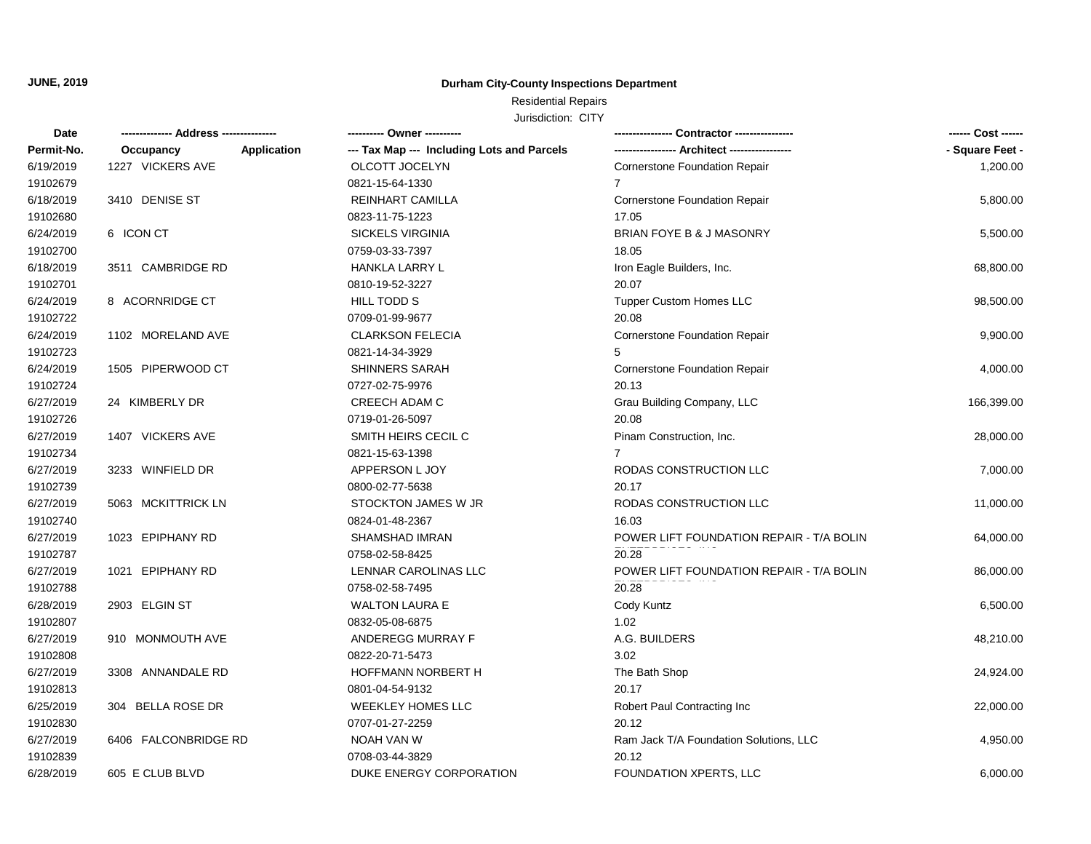## Residential Repairs

| Date       |                      |                    | ---------- Owner ----------                | Contractor ----------------              |                 |
|------------|----------------------|--------------------|--------------------------------------------|------------------------------------------|-----------------|
| Permit-No. | Occupancy            | <b>Application</b> | --- Tax Map --- Including Lots and Parcels |                                          | - Square Feet - |
| 6/19/2019  | 1227 VICKERS AVE     |                    | OLCOTT JOCELYN                             | Cornerstone Foundation Repair            | 1,200.00        |
| 19102679   |                      |                    | 0821-15-64-1330                            | $\overline{7}$                           |                 |
| 6/18/2019  | 3410 DENISE ST       |                    | REINHART CAMILLA                           | Cornerstone Foundation Repair            | 5,800.00        |
| 19102680   |                      |                    | 0823-11-75-1223                            | 17.05                                    |                 |
| 6/24/2019  | 6 ICON CT            |                    | <b>SICKELS VIRGINIA</b>                    | BRIAN FOYE B & J MASONRY                 | 5,500.00        |
| 19102700   |                      |                    | 0759-03-33-7397                            | 18.05                                    |                 |
| 6/18/2019  | 3511 CAMBRIDGE RD    |                    | HANKLA LARRY L                             | Iron Eagle Builders, Inc.                | 68,800.00       |
| 19102701   |                      |                    | 0810-19-52-3227                            | 20.07                                    |                 |
| 6/24/2019  | 8 ACORNRIDGE CT      |                    | HILL TODD S                                | <b>Tupper Custom Homes LLC</b>           | 98,500.00       |
| 19102722   |                      |                    | 0709-01-99-9677                            | 20.08                                    |                 |
| 6/24/2019  | 1102 MORELAND AVE    |                    | <b>CLARKSON FELECIA</b>                    | <b>Cornerstone Foundation Repair</b>     | 9,900.00        |
| 19102723   |                      |                    | 0821-14-34-3929                            | 5                                        |                 |
| 6/24/2019  | 1505 PIPERWOOD CT    |                    | SHINNERS SARAH                             | Cornerstone Foundation Repair            | 4,000.00        |
| 19102724   |                      |                    | 0727-02-75-9976                            | 20.13                                    |                 |
| 6/27/2019  | 24 KIMBERLY DR       |                    | <b>CREECH ADAM C</b>                       | Grau Building Company, LLC               | 166,399.00      |
| 19102726   |                      |                    | 0719-01-26-5097                            | 20.08                                    |                 |
| 6/27/2019  | 1407 VICKERS AVE     |                    | SMITH HEIRS CECIL C                        | Pinam Construction, Inc.                 | 28,000.00       |
| 19102734   |                      |                    | 0821-15-63-1398                            | 7                                        |                 |
| 6/27/2019  | 3233 WINFIELD DR     |                    | APPERSON L JOY                             | RODAS CONSTRUCTION LLC                   | 7,000.00        |
| 19102739   |                      |                    | 0800-02-77-5638                            | 20.17                                    |                 |
| 6/27/2019  | 5063 MCKITTRICK LN   |                    | STOCKTON JAMES W JR                        | RODAS CONSTRUCTION LLC                   | 11,000.00       |
| 19102740   |                      |                    | 0824-01-48-2367                            | 16.03                                    |                 |
| 6/27/2019  | 1023 EPIPHANY RD     |                    | SHAMSHAD IMRAN                             | POWER LIFT FOUNDATION REPAIR - T/A BOLIN | 64,000.00       |
| 19102787   |                      |                    | 0758-02-58-8425                            | 20.28                                    |                 |
| 6/27/2019  | 1021 EPIPHANY RD     |                    | LENNAR CAROLINAS LLC                       | POWER LIFT FOUNDATION REPAIR - T/A BOLIN | 86,000.00       |
| 19102788   |                      |                    | 0758-02-58-7495                            | 20.28                                    |                 |
| 6/28/2019  | 2903 ELGIN ST        |                    | <b>WALTON LAURA E</b>                      | Cody Kuntz                               | 6,500.00        |
| 19102807   |                      |                    | 0832-05-08-6875                            | 1.02                                     |                 |
| 6/27/2019  | 910 MONMOUTH AVE     |                    | ANDEREGG MURRAY F                          | A.G. BUILDERS                            | 48,210.00       |
| 19102808   |                      |                    | 0822-20-71-5473                            | 3.02                                     |                 |
| 6/27/2019  | 3308 ANNANDALE RD    |                    | HOFFMANN NORBERT H                         | The Bath Shop                            | 24,924.00       |
| 19102813   |                      |                    | 0801-04-54-9132                            | 20.17                                    |                 |
| 6/25/2019  | 304 BELLA ROSE DR    |                    | <b>WEEKLEY HOMES LLC</b>                   | Robert Paul Contracting Inc              | 22,000.00       |
| 19102830   |                      |                    | 0707-01-27-2259                            | 20.12                                    |                 |
| 6/27/2019  | 6406 FALCONBRIDGE RD |                    | NOAH VAN W                                 | Ram Jack T/A Foundation Solutions, LLC   | 4,950.00        |
| 19102839   |                      |                    | 0708-03-44-3829                            | 20.12                                    |                 |
| 6/28/2019  | 605 E CLUB BLVD      |                    | DUKE ENERGY CORPORATION                    | <b>FOUNDATION XPERTS, LLC</b>            | 6,000.00        |